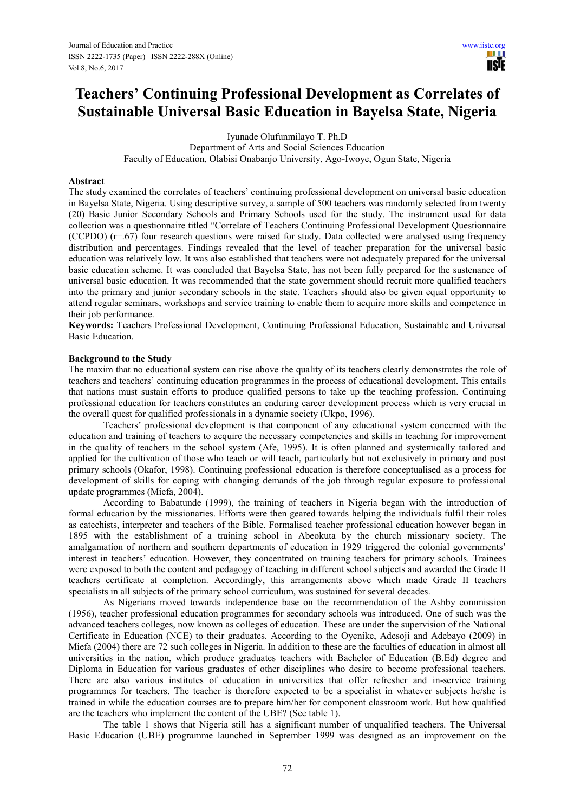# **Teachers' Continuing Professional Development as Correlates of Sustainable Universal Basic Education in Bayelsa State, Nigeria**

Iyunade Olufunmilayo T. Ph.D

Department of Arts and Social Sciences Education Faculty of Education, Olabisi Onabanjo University, Ago-Iwoye, Ogun State, Nigeria

#### **Abstract**

The study examined the correlates of teachers' continuing professional development on universal basic education in Bayelsa State, Nigeria. Using descriptive survey, a sample of 500 teachers was randomly selected from twenty (20) Basic Junior Secondary Schools and Primary Schools used for the study. The instrument used for data collection was a questionnaire titled "Correlate of Teachers Continuing Professional Development Questionnaire (CCPDO) (r=.67) four research questions were raised for study. Data collected were analysed using frequency distribution and percentages. Findings revealed that the level of teacher preparation for the universal basic education was relatively low. It was also established that teachers were not adequately prepared for the universal basic education scheme. It was concluded that Bayelsa State, has not been fully prepared for the sustenance of universal basic education. It was recommended that the state government should recruit more qualified teachers into the primary and junior secondary schools in the state. Teachers should also be given equal opportunity to attend regular seminars, workshops and service training to enable them to acquire more skills and competence in their job performance.

**Keywords:** Teachers Professional Development, Continuing Professional Education, Sustainable and Universal Basic Education.

#### **Background to the Study**

The maxim that no educational system can rise above the quality of its teachers clearly demonstrates the role of teachers and teachers' continuing education programmes in the process of educational development. This entails that nations must sustain efforts to produce qualified persons to take up the teaching profession. Continuing professional education for teachers constitutes an enduring career development process which is very crucial in the overall quest for qualified professionals in a dynamic society (Ukpo, 1996).

Teachers' professional development is that component of any educational system concerned with the education and training of teachers to acquire the necessary competencies and skills in teaching for improvement in the quality of teachers in the school system (Afe, 1995). It is often planned and systemically tailored and applied for the cultivation of those who teach or will teach, particularly but not exclusively in primary and post primary schools (Okafor, 1998). Continuing professional education is therefore conceptualised as a process for development of skills for coping with changing demands of the job through regular exposure to professional update programmes (Miefa, 2004).

According to Babatunde (1999), the training of teachers in Nigeria began with the introduction of formal education by the missionaries. Efforts were then geared towards helping the individuals fulfil their roles as catechists, interpreter and teachers of the Bible. Formalised teacher professional education however began in 1895 with the establishment of a training school in Abeokuta by the church missionary society. The amalgamation of northern and southern departments of education in 1929 triggered the colonial governments' interest in teachers' education. However, they concentrated on training teachers for primary schools. Trainees were exposed to both the content and pedagogy of teaching in different school subjects and awarded the Grade II teachers certificate at completion. Accordingly, this arrangements above which made Grade II teachers specialists in all subjects of the primary school curriculum, was sustained for several decades.

As Nigerians moved towards independence base on the recommendation of the Ashby commission (1956), teacher professional education programmes for secondary schools was introduced. One of such was the advanced teachers colleges, now known as colleges of education. These are under the supervision of the National Certificate in Education (NCE) to their graduates. According to the Oyenike, Adesoji and Adebayo (2009) in Miefa (2004) there are 72 such colleges in Nigeria. In addition to these are the faculties of education in almost all universities in the nation, which produce graduates teachers with Bachelor of Education (B.Ed) degree and Diploma in Education for various graduates of other disciplines who desire to become professional teachers. There are also various institutes of education in universities that offer refresher and in-service training programmes for teachers. The teacher is therefore expected to be a specialist in whatever subjects he/she is trained in while the education courses are to prepare him/her for component classroom work. But how qualified are the teachers who implement the content of the UBE? (See table 1).

The table 1 shows that Nigeria still has a significant number of unqualified teachers. The Universal Basic Education (UBE) programme launched in September 1999 was designed as an improvement on the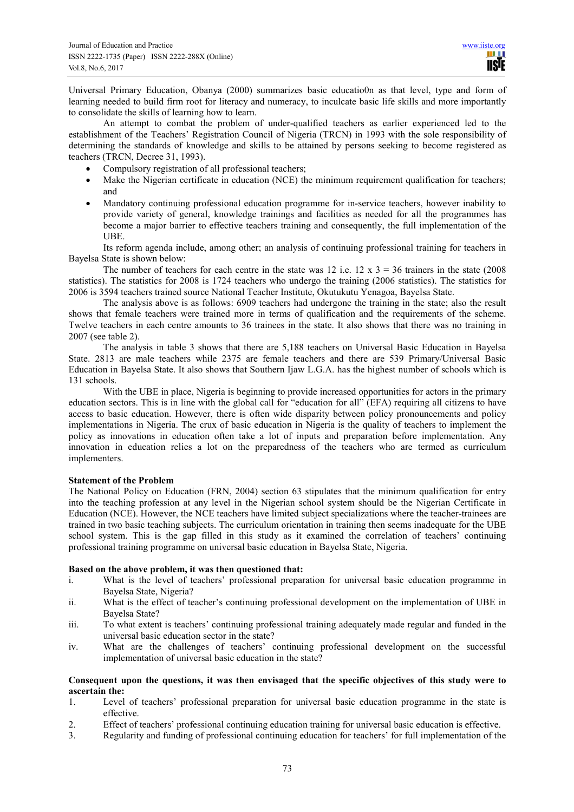Universal Primary Education, Obanya (2000) summarizes basic educatio0n as that level, type and form of learning needed to build firm root for literacy and numeracy, to inculcate basic life skills and more importantly to consolidate the skills of learning how to learn.

An attempt to combat the problem of under-qualified teachers as earlier experienced led to the establishment of the Teachers' Registration Council of Nigeria (TRCN) in 1993 with the sole responsibility of determining the standards of knowledge and skills to be attained by persons seeking to become registered as teachers (TRCN, Decree 31, 1993).

- Compulsory registration of all professional teachers;
- Make the Nigerian certificate in education (NCE) the minimum requirement qualification for teachers; and
- Mandatory continuing professional education programme for in-service teachers, however inability to provide variety of general, knowledge trainings and facilities as needed for all the programmes has become a major barrier to effective teachers training and consequently, the full implementation of the UBE.

Its reform agenda include, among other; an analysis of continuing professional training for teachers in Bayelsa State is shown below:

The number of teachers for each centre in the state was 12 i.e.  $12 \times 3 = 36$  trainers in the state (2008) statistics). The statistics for 2008 is 1724 teachers who undergo the training (2006 statistics). The statistics for 2006 is 3594 teachers trained source National Teacher Institute, Okutukutu Yenagoa, Bayelsa State.

The analysis above is as follows: 6909 teachers had undergone the training in the state; also the result shows that female teachers were trained more in terms of qualification and the requirements of the scheme. Twelve teachers in each centre amounts to 36 trainees in the state. It also shows that there was no training in 2007 (see table 2).

The analysis in table 3 shows that there are 5,188 teachers on Universal Basic Education in Bayelsa State. 2813 are male teachers while 2375 are female teachers and there are 539 Primary/Universal Basic Education in Bayelsa State. It also shows that Southern Ijaw L.G.A. has the highest number of schools which is 131 schools.

With the UBE in place, Nigeria is beginning to provide increased opportunities for actors in the primary education sectors. This is in line with the global call for "education for all" (EFA) requiring all citizens to have access to basic education. However, there is often wide disparity between policy pronouncements and policy implementations in Nigeria. The crux of basic education in Nigeria is the quality of teachers to implement the policy as innovations in education often take a lot of inputs and preparation before implementation. Any innovation in education relies a lot on the preparedness of the teachers who are termed as curriculum implementers.

# **Statement of the Problem**

The National Policy on Education (FRN, 2004) section 63 stipulates that the minimum qualification for entry into the teaching profession at any level in the Nigerian school system should be the Nigerian Certificate in Education (NCE). However, the NCE teachers have limited subject specializations where the teacher-trainees are trained in two basic teaching subjects. The curriculum orientation in training then seems inadequate for the UBE school system. This is the gap filled in this study as it examined the correlation of teachers' continuing professional training programme on universal basic education in Bayelsa State, Nigeria.

# **Based on the above problem, it was then questioned that:**

- i. What is the level of teachers' professional preparation for universal basic education programme in Bayelsa State, Nigeria?
- ii. What is the effect of teacher's continuing professional development on the implementation of UBE in Bayelsa State?
- iii. To what extent is teachers' continuing professional training adequately made regular and funded in the universal basic education sector in the state?
- iv. What are the challenges of teachers' continuing professional development on the successful implementation of universal basic education in the state?

# **Consequent upon the questions, it was then envisaged that the specific objectives of this study were to ascertain the:**

- 1. Level of teachers' professional preparation for universal basic education programme in the state is effective.
- 2. Effect of teachers' professional continuing education training for universal basic education is effective.
- 3. Regularity and funding of professional continuing education for teachers' for full implementation of the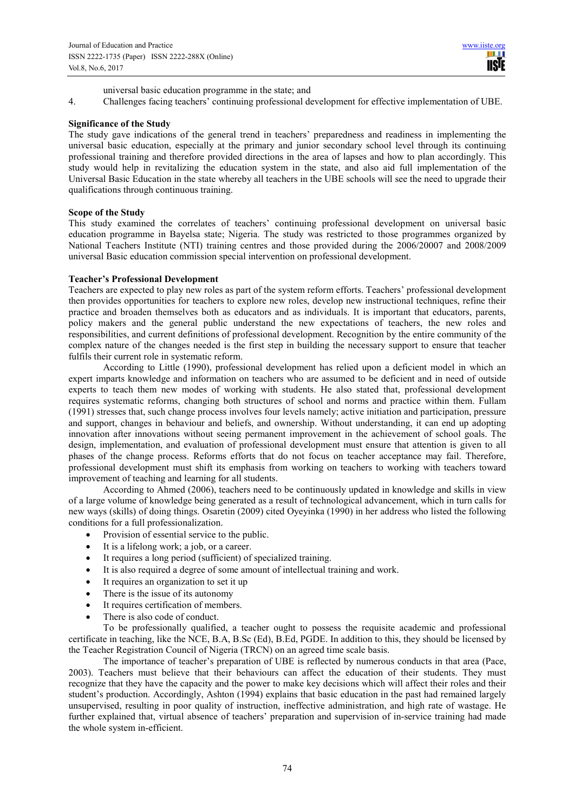**IISIE** 

universal basic education programme in the state; and

4. Challenges facing teachers' continuing professional development for effective implementation of UBE.

#### **Significance of the Study**

The study gave indications of the general trend in teachers' preparedness and readiness in implementing the universal basic education, especially at the primary and junior secondary school level through its continuing professional training and therefore provided directions in the area of lapses and how to plan accordingly. This study would help in revitalizing the education system in the state, and also aid full implementation of the Universal Basic Education in the state whereby all teachers in the UBE schools will see the need to upgrade their qualifications through continuous training.

#### **Scope of the Study**

This study examined the correlates of teachers' continuing professional development on universal basic education programme in Bayelsa state; Nigeria. The study was restricted to those programmes organized by National Teachers Institute (NTI) training centres and those provided during the 2006/20007 and 2008/2009 universal Basic education commission special intervention on professional development.

#### **Teacher's Professional Development**

Teachers are expected to play new roles as part of the system reform efforts. Teachers' professional development then provides opportunities for teachers to explore new roles, develop new instructional techniques, refine their practice and broaden themselves both as educators and as individuals. It is important that educators, parents, policy makers and the general public understand the new expectations of teachers, the new roles and responsibilities, and current definitions of professional development. Recognition by the entire community of the complex nature of the changes needed is the first step in building the necessary support to ensure that teacher fulfils their current role in systematic reform.

According to Little (1990), professional development has relied upon a deficient model in which an expert imparts knowledge and information on teachers who are assumed to be deficient and in need of outside experts to teach them new modes of working with students. He also stated that, professional development requires systematic reforms, changing both structures of school and norms and practice within them. Fullam (1991) stresses that, such change process involves four levels namely; active initiation and participation, pressure and support, changes in behaviour and beliefs, and ownership. Without understanding, it can end up adopting innovation after innovations without seeing permanent improvement in the achievement of school goals. The design, implementation, and evaluation of professional development must ensure that attention is given to all phases of the change process. Reforms efforts that do not focus on teacher acceptance may fail. Therefore, professional development must shift its emphasis from working on teachers to working with teachers toward improvement of teaching and learning for all students.

According to Ahmed (2006), teachers need to be continuously updated in knowledge and skills in view of a large volume of knowledge being generated as a result of technological advancement, which in turn calls for new ways (skills) of doing things. Osaretin (2009) cited Oyeyinka (1990) in her address who listed the following conditions for a full professionalization.

- Provision of essential service to the public.
- It is a lifelong work; a job, or a career.
- It requires a long period (sufficient) of specialized training.
- It is also required a degree of some amount of intellectual training and work.
- It requires an organization to set it up
- There is the issue of its autonomy
- It requires certification of members.
- There is also code of conduct.

To be professionally qualified, a teacher ought to possess the requisite academic and professional certificate in teaching, like the NCE, B.A, B.Sc (Ed), B.Ed, PGDE. In addition to this, they should be licensed by the Teacher Registration Council of Nigeria (TRCN) on an agreed time scale basis.

The importance of teacher's preparation of UBE is reflected by numerous conducts in that area (Pace, 2003). Teachers must believe that their behaviours can affect the education of their students. They must recognize that they have the capacity and the power to make key decisions which will affect their roles and their student's production. Accordingly, Ashton (1994) explains that basic education in the past had remained largely unsupervised, resulting in poor quality of instruction, ineffective administration, and high rate of wastage. He further explained that, virtual absence of teachers' preparation and supervision of in-service training had made the whole system in-efficient.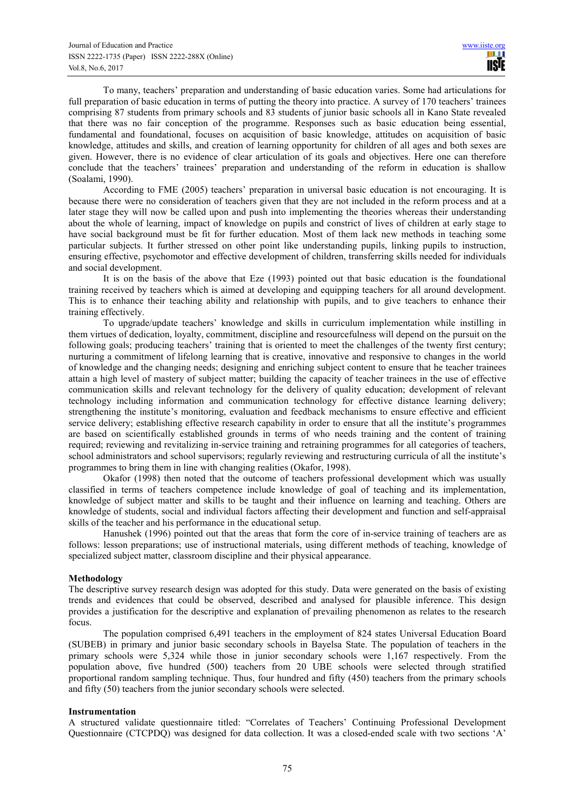To many, teachers' preparation and understanding of basic education varies. Some had articulations for full preparation of basic education in terms of putting the theory into practice. A survey of 170 teachers' trainees comprising 87 students from primary schools and 83 students of junior basic schools all in Kano State revealed that there was no fair conception of the programme. Responses such as basic education being essential, fundamental and foundational, focuses on acquisition of basic knowledge, attitudes on acquisition of basic knowledge, attitudes and skills, and creation of learning opportunity for children of all ages and both sexes are given. However, there is no evidence of clear articulation of its goals and objectives. Here one can therefore conclude that the teachers' trainees' preparation and understanding of the reform in education is shallow (Soalami, 1990).

According to FME (2005) teachers' preparation in universal basic education is not encouraging. It is because there were no consideration of teachers given that they are not included in the reform process and at a later stage they will now be called upon and push into implementing the theories whereas their understanding about the whole of learning, impact of knowledge on pupils and constrict of lives of children at early stage to have social background must be fit for further education. Most of them lack new methods in teaching some particular subjects. It further stressed on other point like understanding pupils, linking pupils to instruction, ensuring effective, psychomotor and effective development of children, transferring skills needed for individuals and social development.

It is on the basis of the above that Eze (1993) pointed out that basic education is the foundational training received by teachers which is aimed at developing and equipping teachers for all around development. This is to enhance their teaching ability and relationship with pupils, and to give teachers to enhance their training effectively.

To upgrade/update teachers' knowledge and skills in curriculum implementation while instilling in them virtues of dedication, loyalty, commitment, discipline and resourcefulness will depend on the pursuit on the following goals; producing teachers' training that is oriented to meet the challenges of the twenty first century; nurturing a commitment of lifelong learning that is creative, innovative and responsive to changes in the world of knowledge and the changing needs; designing and enriching subject content to ensure that he teacher trainees attain a high level of mastery of subject matter; building the capacity of teacher trainees in the use of effective communication skills and relevant technology for the delivery of quality education; development of relevant technology including information and communication technology for effective distance learning delivery; strengthening the institute's monitoring, evaluation and feedback mechanisms to ensure effective and efficient service delivery; establishing effective research capability in order to ensure that all the institute's programmes are based on scientifically established grounds in terms of who needs training and the content of training required; reviewing and revitalizing in-service training and retraining programmes for all categories of teachers, school administrators and school supervisors; regularly reviewing and restructuring curricula of all the institute's programmes to bring them in line with changing realities (Okafor, 1998).

Okafor (1998) then noted that the outcome of teachers professional development which was usually classified in terms of teachers competence include knowledge of goal of teaching and its implementation, knowledge of subject matter and skills to be taught and their influence on learning and teaching. Others are knowledge of students, social and individual factors affecting their development and function and self-appraisal skills of the teacher and his performance in the educational setup.

Hanushek (1996) pointed out that the areas that form the core of in-service training of teachers are as follows: lesson preparations; use of instructional materials, using different methods of teaching, knowledge of specialized subject matter, classroom discipline and their physical appearance.

# **Methodology**

The descriptive survey research design was adopted for this study. Data were generated on the basis of existing trends and evidences that could be observed, described and analysed for plausible inference. This design provides a justification for the descriptive and explanation of prevailing phenomenon as relates to the research focus.

The population comprised 6,491 teachers in the employment of 824 states Universal Education Board (SUBEB) in primary and junior basic secondary schools in Bayelsa State. The population of teachers in the primary schools were 5,324 while those in junior secondary schools were 1,167 respectively. From the population above, five hundred (500) teachers from 20 UBE schools were selected through stratified proportional random sampling technique. Thus, four hundred and fifty (450) teachers from the primary schools and fifty (50) teachers from the junior secondary schools were selected.

#### **Instrumentation**

A structured validate questionnaire titled: "Correlates of Teachers' Continuing Professional Development Questionnaire (CTCPDQ) was designed for data collection. It was a closed-ended scale with two sections 'A'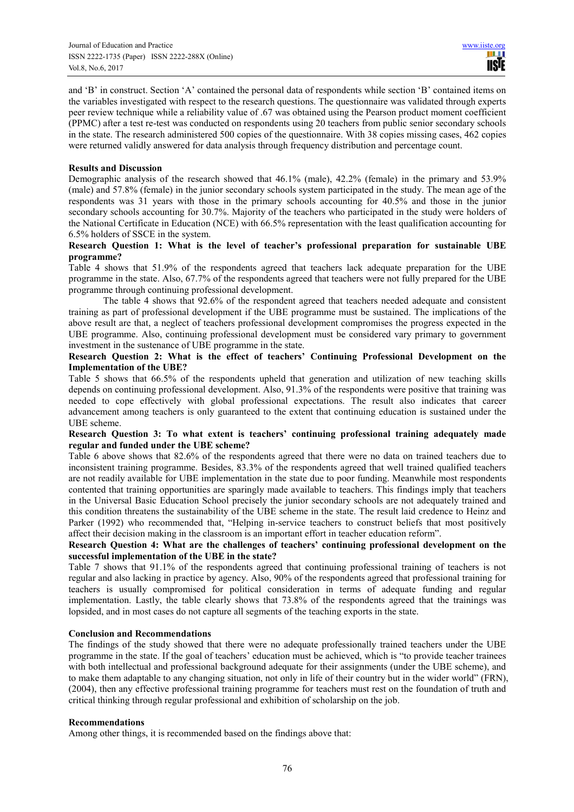and 'B' in construct. Section 'A' contained the personal data of respondents while section 'B' contained items on the variables investigated with respect to the research questions. The questionnaire was validated through experts peer review technique while a reliability value of .67 was obtained using the Pearson product moment coefficient (PPMC) after a test re-test was conducted on respondents using 20 teachers from public senior secondary schools in the state. The research administered 500 copies of the questionnaire. With 38 copies missing cases, 462 copies were returned validly answered for data analysis through frequency distribution and percentage count.

#### **Results and Discussion**

Demographic analysis of the research showed that 46.1% (male), 42.2% (female) in the primary and 53.9% (male) and 57.8% (female) in the junior secondary schools system participated in the study. The mean age of the respondents was 31 years with those in the primary schools accounting for 40.5% and those in the junior secondary schools accounting for 30.7%. Majority of the teachers who participated in the study were holders of the National Certificate in Education (NCE) with 66.5% representation with the least qualification accounting for 6.5% holders of SSCE in the system.

# **Research Question 1: What is the level of teacher's professional preparation for sustainable UBE programme?**

Table 4 shows that 51.9% of the respondents agreed that teachers lack adequate preparation for the UBE programme in the state. Also, 67.7% of the respondents agreed that teachers were not fully prepared for the UBE programme through continuing professional development.

The table 4 shows that 92.6% of the respondent agreed that teachers needed adequate and consistent training as part of professional development if the UBE programme must be sustained. The implications of the above result are that, a neglect of teachers professional development compromises the progress expected in the UBE programme. Also, continuing professional development must be considered vary primary to government investment in the sustenance of UBE programme in the state.

# **Research Question 2: What is the effect of teachers' Continuing Professional Development on the Implementation of the UBE?**

Table 5 shows that 66.5% of the respondents upheld that generation and utilization of new teaching skills depends on continuing professional development. Also, 91.3% of the respondents were positive that training was needed to cope effectively with global professional expectations. The result also indicates that career advancement among teachers is only guaranteed to the extent that continuing education is sustained under the UBE scheme.

#### **Research Question 3: To what extent is teachers' continuing professional training adequately made regular and funded under the UBE scheme?**

Table 6 above shows that 82.6% of the respondents agreed that there were no data on trained teachers due to inconsistent training programme. Besides, 83.3% of the respondents agreed that well trained qualified teachers are not readily available for UBE implementation in the state due to poor funding. Meanwhile most respondents contented that training opportunities are sparingly made available to teachers. This findings imply that teachers in the Universal Basic Education School precisely the junior secondary schools are not adequately trained and this condition threatens the sustainability of the UBE scheme in the state. The result laid credence to Heinz and Parker (1992) who recommended that, "Helping in-service teachers to construct beliefs that most positively affect their decision making in the classroom is an important effort in teacher education reform".

# **Research Question 4: What are the challenges of teachers' continuing professional development on the successful implementation of the UBE in the state?**

Table 7 shows that 91.1% of the respondents agreed that continuing professional training of teachers is not regular and also lacking in practice by agency. Also, 90% of the respondents agreed that professional training for teachers is usually compromised for political consideration in terms of adequate funding and regular implementation. Lastly, the table clearly shows that 73.8% of the respondents agreed that the trainings was lopsided, and in most cases do not capture all segments of the teaching exports in the state.

# **Conclusion and Recommendations**

The findings of the study showed that there were no adequate professionally trained teachers under the UBE programme in the state. If the goal of teachers' education must be achieved, which is "to provide teacher trainees with both intellectual and professional background adequate for their assignments (under the UBE scheme), and to make them adaptable to any changing situation, not only in life of their country but in the wider world" (FRN), (2004), then any effective professional training programme for teachers must rest on the foundation of truth and critical thinking through regular professional and exhibition of scholarship on the job.

#### **Recommendations**

Among other things, it is recommended based on the findings above that: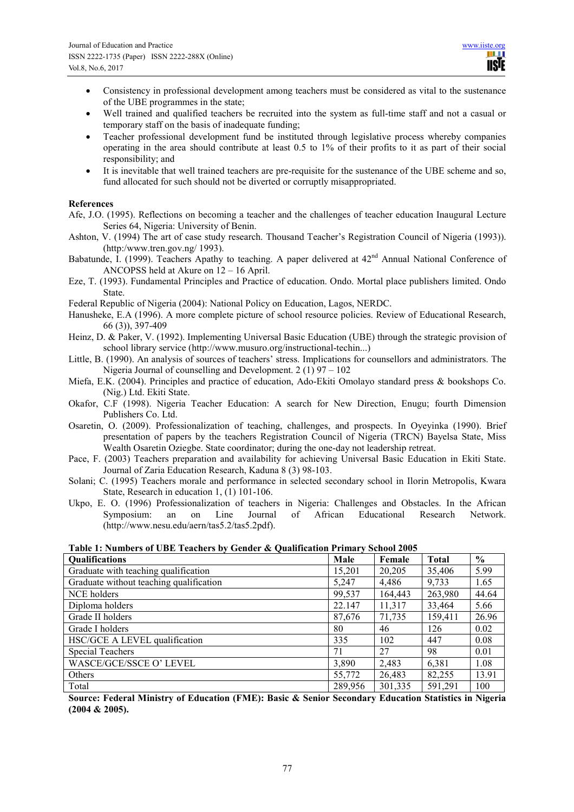- Consistency in professional development among teachers must be considered as vital to the sustenance of the UBE programmes in the state;
- Well trained and qualified teachers be recruited into the system as full-time staff and not a casual or temporary staff on the basis of inadequate funding;
- Teacher professional development fund be instituted through legislative process whereby companies operating in the area should contribute at least 0.5 to 1% of their profits to it as part of their social responsibility; and
- It is inevitable that well trained teachers are pre-requisite for the sustenance of the UBE scheme and so, fund allocated for such should not be diverted or corruptly misappropriated.

# **References**

- Afe, J.O. (1995). Reflections on becoming a teacher and the challenges of teacher education Inaugural Lecture Series 64, Nigeria: University of Benin.
- Ashton, V. (1994) The art of case study research. Thousand Teacher's Registration Council of Nigeria (1993)). (http:/www.tren.gov.ng/ 1993).
- Babatunde, I. (1999). Teachers Apathy to teaching. A paper delivered at 42<sup>nd</sup> Annual National Conference of ANCOPSS held at Akure on 12 – 16 April.
- Eze, T. (1993). Fundamental Principles and Practice of education. Ondo. Mortal place publishers limited. Ondo State.
- Federal Republic of Nigeria (2004): National Policy on Education, Lagos, NERDC.
- Hanusheke, E.A (1996). A more complete picture of school resource policies. Review of Educational Research, 66 (3)), 397-409
- Heinz, D. & Paker, V. (1992). Implementing Universal Basic Education (UBE) through the strategic provision of school library service (http://www.musuro.org/instructional-techin...)
- Little, B. (1990). An analysis of sources of teachers' stress. Implications for counsellors and administrators. The Nigeria Journal of counselling and Development.  $2(1)$  97 – 102
- Miefa, E.K. (2004). Principles and practice of education, Ado-Ekiti Omolayo standard press & bookshops Co. (Nig.) Ltd. Ekiti State.
- Okafor, C.F (1998). Nigeria Teacher Education: A search for New Direction, Enugu; fourth Dimension Publishers Co. Ltd.
- Osaretin, O. (2009). Professionalization of teaching, challenges, and prospects. In Oyeyinka (1990). Brief presentation of papers by the teachers Registration Council of Nigeria (TRCN) Bayelsa State, Miss Wealth Osaretin Oziegbe. State coordinator; during the one-day not leadership retreat.
- Pace, F. (2003) Teachers preparation and availability for achieving Universal Basic Education in Ekiti State. Journal of Zaria Education Research, Kaduna 8 (3) 98-103.
- Solani; C. (1995) Teachers morale and performance in selected secondary school in Ilorin Metropolis, Kwara State, Research in education 1, (1) 101-106.
- Ukpo, E. O. (1996) Professionalization of teachers in Nigeria: Challenges and Obstacles. In the African Symposium: an on Line Journal of African Educational Research Network. (http://www.nesu.edu/aern/tas5.2/tas5.2pdf).

| Table 1: Numbers of UBE Teachers by Gender & Qualification Primary School 2005 |  |  |
|--------------------------------------------------------------------------------|--|--|
|--------------------------------------------------------------------------------|--|--|

| <b>Qualifications</b>                   | Male    | Female  | <b>Total</b> | $\frac{0}{0}$ |
|-----------------------------------------|---------|---------|--------------|---------------|
| Graduate with teaching qualification    | 15,201  | 20,205  | 35,406       | 5.99          |
| Graduate without teaching qualification | 5,247   | 4,486   | 9,733        | 1.65          |
| NCE holders                             | 99,537  | 164,443 | 263,980      | 44.64         |
| Diploma holders                         | 22.147  | 11,317  | 33,464       | 5.66          |
| Grade II holders                        | 87,676  | 71,735  | 159,411      | 26.96         |
| Grade I holders                         | 80      | 46      | 126          | 0.02          |
| HSC/GCE A LEVEL qualification           | 335     | 102     | 447          | 0.08          |
| <b>Special Teachers</b>                 | 71      | 27      | 98           | 0.01          |
| <b>WASCE/GCE/SSCE O' LEVEL</b>          | 3,890   | 2,483   | 6,381        | 1.08          |
| <b>Others</b>                           | 55,772  | 26,483  | 82,255       | 13.91         |
| Total                                   | 289,956 | 301,335 | 591,291      | 100           |

**Source: Federal Ministry of Education (FME): Basic & Senior Secondary Education Statistics in Nigeria (2004 & 2005).**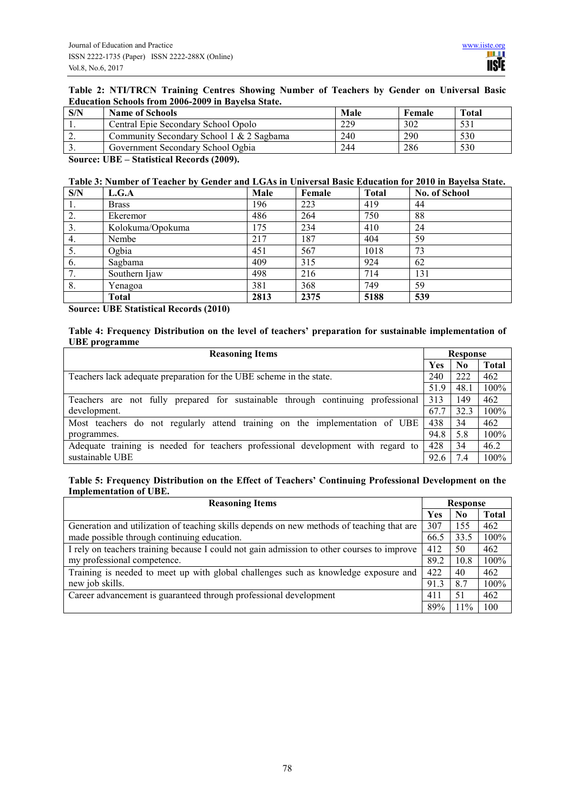# **Table 2: NTI/TRCN Training Centres Showing Number of Teachers by Gender on Universal Basic Education Schools from 2006-2009 in Bayelsa State.**

| S/N             | <b>Name of Schools</b>                   | Male | Female | <b>Total</b> |
|-----------------|------------------------------------------|------|--------|--------------|
| $\cdot$ $\cdot$ | Central Epie Secondary School Opolo      | 229  | 302    | 531          |
| ٠.              | Community Secondary School 1 & 2 Sagbama | 240  | 290    | 530          |
| J .             | Government Secondary School Ogbia        | 244  | 286    | 530          |

**Source: UBE – Statistical Records (2009).** 

#### **Table 3: Number of Teacher by Gender and LGAs in Universal Basic Education for 2010 in Bayelsa State.**

| S/N | L.G.A            | Male | Female | <b>Total</b> | <b>No. of School</b> |
|-----|------------------|------|--------|--------------|----------------------|
| 1.  | <b>Brass</b>     | 196  | 223    | 419          | 44                   |
| 2.  | Ekeremor         | 486  | 264    | 750          | 88                   |
| 3.  | Kolokuma/Opokuma | 175  | 234    | 410          | 24                   |
| 4.  | Nembe            | 217  | 187    | 404          | 59                   |
| 5.  | Ogbia            | 451  | 567    | 1018         | 73                   |
| 6.  | Sagbama          | 409  | 315    | 924          | 62                   |
| 7.  | Southern Ijaw    | 498  | 216    | 714          | 131                  |
| 8.  | Yenagoa          | 381  | 368    | 749          | 59                   |
|     | Total            | 2813 | 2375   | 5188         | 539                  |

**Source: UBE Statistical Records (2010)** 

# **Table 4: Frequency Distribution on the level of teachers' preparation for sustainable implementation of UBE programme**

| <b>Reasoning Items</b>                                                           |      | <b>Response</b> |              |  |
|----------------------------------------------------------------------------------|------|-----------------|--------------|--|
|                                                                                  | Yes  | N <sub>0</sub>  | <b>Total</b> |  |
| Teachers lack adequate preparation for the UBE scheme in the state.              | 240  | 222             | 462          |  |
|                                                                                  | 51.9 | 48.1            | 100%         |  |
| Teachers are not fully prepared for sustainable through continuing professional  | 313  | 149             | 462          |  |
| development.                                                                     | 67.7 | 32.3            | 100%         |  |
| Most teachers do not regularly attend training on the implementation of UBE      | 438  | 34              | 462          |  |
| programmes.                                                                      | 94.8 | 5.8             | 100%         |  |
| Adequate training is needed for teachers professional development with regard to | 428  | 34              | 46.2         |  |
| sustainable UBE                                                                  | 92.6 | 7.4             | 100%         |  |

# **Table 5: Frequency Distribution on the Effect of Teachers' Continuing Professional Development on the Implementation of UBE.**

| <b>Reasoning Items</b>                                                                     |      | Response |              |  |
|--------------------------------------------------------------------------------------------|------|----------|--------------|--|
|                                                                                            | Yes  | No.      | <b>Total</b> |  |
| Generation and utilization of teaching skills depends on new methods of teaching that are  | 307  | 155      | 462          |  |
| made possible through continuing education.                                                | 66.5 | 33.5     | 100%         |  |
| I rely on teachers training because I could not gain admission to other courses to improve | 412  | 50       | 462          |  |
| my professional competence.                                                                | 89.2 | 10.8     | 100%         |  |
| Training is needed to meet up with global challenges such as knowledge exposure and        | 422  | 40       | 462          |  |
| new job skills.                                                                            | 91.3 | 8.7      | 100%         |  |
| Career advancement is guaranteed through professional development                          | 411  | -51      | 462          |  |
|                                                                                            | 89%  | $11\%$   | 100          |  |